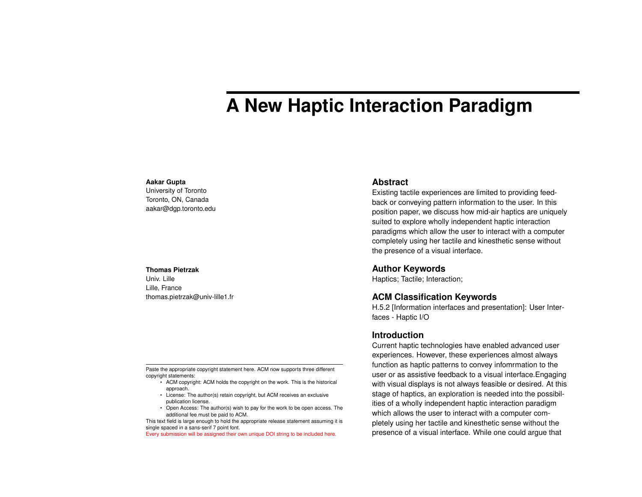# **A New Haptic Interaction Paradigm**

#### **Aakar Gupta**

University of Toronto Toronto, ON, Canada aakar@dgp.toronto.edu

#### **Thomas Pietrzak**

Univ. Lille Lille, France thomas.pietrzak@univ-lille1.fr

Paste the appropriate copyright statement here. ACM now supports three different copyright statements:

- ACM copyright: ACM holds the copyright on the work. This is the historical approach.
- License: The author(s) retain copyright, but ACM receives an exclusive publication license.
- Open Access: The author(s) wish to pay for the work to be open access. The additional fee must be paid to ACM.

This text field is large enough to hold the appropriate release statement assuming it is single spaced in a sans-serif 7 point font.

Every submission will be assigned their own unique DOI string to be included here.

## **Abstract**

Existing tactile experiences are limited to providing feedback or conveying pattern information to the user. In this position paper, we discuss how mid-air haptics are uniquely suited to explore wholly independent haptic interaction paradigms which allow the user to interact with a computer completely using her tactile and kinesthetic sense without the presence of a visual interface.

### **Author Keywords**

Haptics; Tactile; Interaction;

# **ACM Classification Keywords**

H.5.2 [Information interfaces and presentation]: User Interfaces - Haptic I/O

## **Introduction**

Current haptic technologies have enabled advanced user experiences. However, these experiences almost always function as haptic patterns to convey infomrmation to the user or as assistive feedback to a visual interface.Engaging with visual displays is not always feasible or desired. At this stage of haptics, an exploration is needed into the possibilities of a wholly independent haptic interaction paradigm which allows the user to interact with a computer completely using her tactile and kinesthetic sense without the presence of a visual interface. While one could argue that